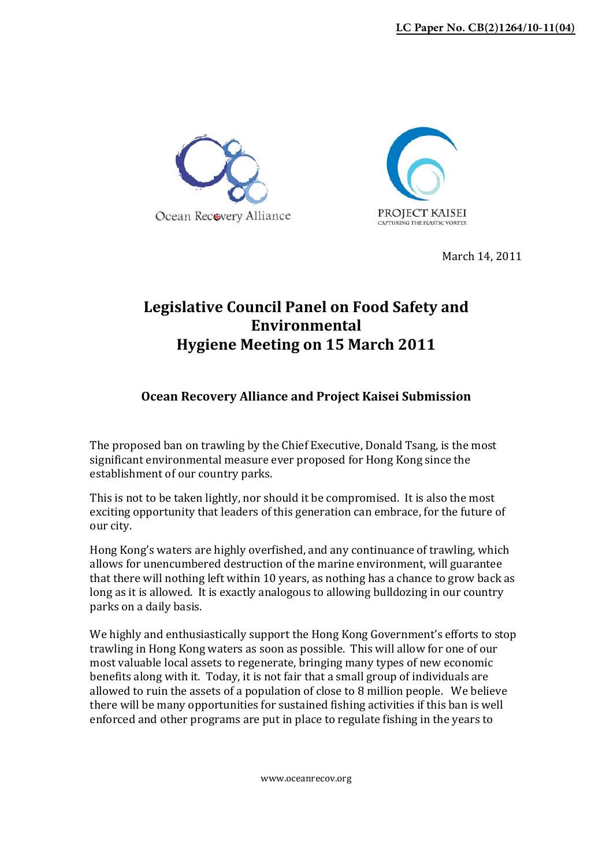



March 14, 2011

## **Legislative Council Panel on Food Safety and Environmental Hygiene Meeting on 15 March 2011**

## **Ocean Recovery Alliance and Project Kaisei Submission**

The proposed ban on trawling by the Chief Executive, Donald Tsang, is the most significant environmental measure ever proposed for Hong Kong since the establishment of our country parks.

This is not to be taken lightly, nor should it be compromised. It is also the most exciting opportunity that leaders of this generation can embrace, for the future of our city.

Hong Kong's waters are highly overfished, and any continuance of trawling, which allows for unencumbered destruction of the marine environment, will guarantee that there will nothing left within 10 years, as nothing has a chance to grow back as long as it is allowed. It is exactly analogous to allowing bulldozing in our country parks on a daily basis.

We highly and enthusiastically support the Hong Kong Government's efforts to stop trawling in Hong Kong waters as soon as possible. This will allow for one of our most valuable local assets to regenerate, bringing many types of new economic benefits along with it. Today, it is not fair that a small group of individuals are allowed to ruin the assets of a population of close to 8 million people. We believe there will be many opportunities for sustained fishing activities if this ban is well enforced and other programs are put in place to regulate fishing in the years to

www.oceanrecov.org